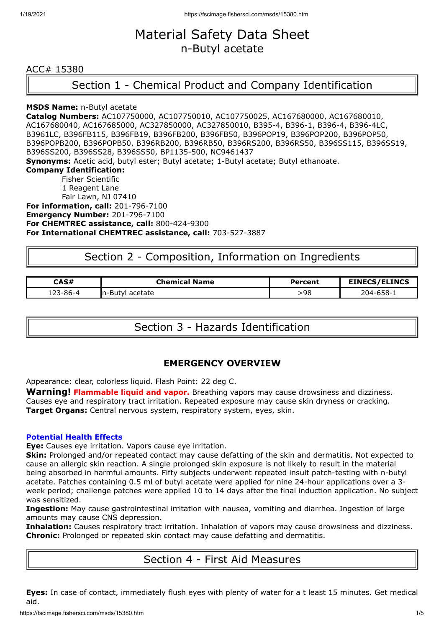# Material Safety Data Sheet n-Butyl acetate

### ACC# 15380

# Section 1 - Chemical Product and Company Identification

#### **MSDS Name:** n-Butyl acetate

**Catalog Numbers:** AC107750000, AC107750010, AC107750025, AC167680000, AC167680010, AC167680040, AC167685000, AC327850000, AC327850010, B395-4, B396-1, B396-4, B396-4LC, B3961LC, B396FB115, B396FB19, B396FB200, B396FB50, B396POP19, B396POP200, B396POP50, B396POPB200, B396POPB50, B396RB200, B396RB50, B396RS200, B396RS50, B396SS115, B396SS19, B396SS200, B396SS28, B396SS50, BP1135-500, NC9461437 **Synonyms:** Acetic acid, butyl ester; Butyl acetate; 1-Butyl acetate; Butyl ethanoate. **Company Identification:** Fisher Scientific 1 Reagent Lane Fair Lawn, NJ 07410 **For information, call:** 201-796-7100

**Emergency Number:** 201-796-7100 **For CHEMTREC assistance, call:** 800-424-9300 **For International CHEMTREC assistance, call:** 703-527-3887

## Section 2 - Composition, Information on Ingredients

| <b>CAS#</b> | Chemical<br><b>Name</b> | Percent | <b>EINECS/ELINCS</b> |
|-------------|-------------------------|---------|----------------------|
|             | In-Butyl acetate        | 98،     | $204 - 658 - 1$      |

Section 3 - Hazards Identification

## **EMERGENCY OVERVIEW**

Appearance: clear, colorless liquid. Flash Point: 22 deg C.

**Warning! Flammable liquid and vapor.** Breathing vapors may cause drowsiness and dizziness. Causes eye and respiratory tract irritation. Repeated exposure may cause skin dryness or cracking. **Target Organs:** Central nervous system, respiratory system, eyes, skin.

#### **Potential Health Effects**

**Eye:** Causes eye irritation. Vapors cause eye irritation.

**Skin:** Prolonged and/or repeated contact may cause defatting of the skin and dermatitis. Not expected to cause an allergic skin reaction. A single prolonged skin exposure is not likely to result in the material being absorbed in harmful amounts. Fifty subjects underwent repeated insult patch-testing with n-butyl acetate. Patches containing 0.5 ml of butyl acetate were applied for nine 24-hour applications over a 3 week period; challenge patches were applied 10 to 14 days after the final induction application. No subject was sensitized.

**Ingestion:** May cause gastrointestinal irritation with nausea, vomiting and diarrhea. Ingestion of large amounts may cause CNS depression.

**Inhalation:** Causes respiratory tract irritation. Inhalation of vapors may cause drowsiness and dizziness. **Chronic:** Prolonged or repeated skin contact may cause defatting and dermatitis.

## Section 4 - First Aid Measures

**Eyes:** In case of contact, immediately flush eyes with plenty of water for a t least 15 minutes. Get medical aid.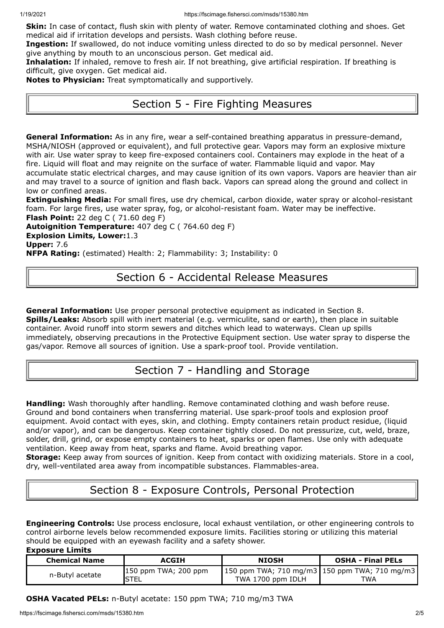**Skin:** In case of contact, flush skin with plenty of water. Remove contaminated clothing and shoes. Get medical aid if irritation develops and persists. Wash clothing before reuse.

**Ingestion:** If swallowed, do not induce vomiting unless directed to do so by medical personnel. Never give anything by mouth to an unconscious person. Get medical aid.

**Inhalation:** If inhaled, remove to fresh air. If not breathing, give artificial respiration. If breathing is difficult, give oxygen. Get medical aid.

**Notes to Physician:** Treat symptomatically and supportively.

# Section 5 - Fire Fighting Measures

**General Information:** As in any fire, wear a self-contained breathing apparatus in pressure-demand, MSHA/NIOSH (approved or equivalent), and full protective gear. Vapors may form an explosive mixture with air. Use water spray to keep fire-exposed containers cool. Containers may explode in the heat of a fire. Liquid will float and may reignite on the surface of water. Flammable liquid and vapor. May accumulate static electrical charges, and may cause ignition of its own vapors. Vapors are heavier than air and may travel to a source of ignition and flash back. Vapors can spread along the ground and collect in low or confined areas.

**Extinguishing Media:** For small fires, use dry chemical, carbon dioxide, water spray or alcohol-resistant foam. For large fires, use water spray, fog, or alcohol-resistant foam. Water may be ineffective. **Flash Point:** 22 deg C ( 71.60 deg F)

**Autoignition Temperature:** 407 deg C ( 764.60 deg F) **Explosion Limits, Lower:**1.3 **Upper:** 7.6

**NFPA Rating:** (estimated) Health: 2; Flammability: 3; Instability: 0

## Section 6 - Accidental Release Measures

**General Information:** Use proper personal protective equipment as indicated in Section 8. **Spills/Leaks:** Absorb spill with inert material (e.g. vermiculite, sand or earth), then place in suitable container. Avoid runoff into storm sewers and ditches which lead to waterways. Clean up spills immediately, observing precautions in the Protective Equipment section. Use water spray to disperse the gas/vapor. Remove all sources of ignition. Use a spark-proof tool. Provide ventilation.

# Section 7 - Handling and Storage

**Handling:** Wash thoroughly after handling. Remove contaminated clothing and wash before reuse. Ground and bond containers when transferring material. Use spark-proof tools and explosion proof equipment. Avoid contact with eyes, skin, and clothing. Empty containers retain product residue, (liquid and/or vapor), and can be dangerous. Keep container tightly closed. Do not pressurize, cut, weld, braze, solder, drill, grind, or expose empty containers to heat, sparks or open flames. Use only with adequate ventilation. Keep away from heat, sparks and flame. Avoid breathing vapor.

**Storage:** Keep away from sources of ignition. Keep from contact with oxidizing materials. Store in a cool, dry, well-ventilated area away from incompatible substances. Flammables-area.

# Section 8 - Exposure Controls, Personal Protection

**Engineering Controls:** Use process enclosure, local exhaust ventilation, or other engineering controls to control airborne levels below recommended exposure limits. Facilities storing or utilizing this material should be equipped with an eyewash facility and a safety shower.

**Exposure Limits**

| <b>Chemical Name</b> | <b>ACGIH</b>                    | <b>NIOSH</b>                                                           | <b>OSHA - Final PELs</b> |
|----------------------|---------------------------------|------------------------------------------------------------------------|--------------------------|
| n-Butyl acetate      | $150$ ppm TWA; 200 ppm<br>ISTEL | 150 ppm TWA; 710 mg/m3   150 ppm TWA; 710 mg/m3  <br>TWA 1700 ppm IDLH | TWA                      |

## **OSHA Vacated PELs:** n-Butyl acetate: 150 ppm TWA; 710 mg/m3 TWA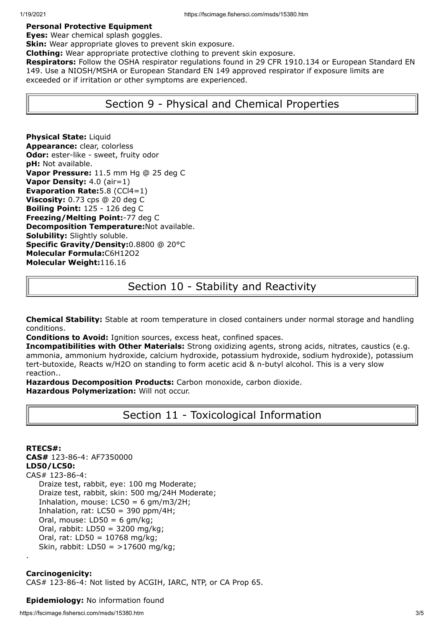#### **Personal Protective Equipment**

#### **Eyes:** Wear chemical splash goggles.

**Skin:** Wear appropriate gloves to prevent skin exposure.

**Clothing:** Wear appropriate protective clothing to prevent skin exposure.

**Respirators:** Follow the OSHA respirator regulations found in 29 CFR 1910.134 or European Standard EN 149. Use a NIOSH/MSHA or European Standard EN 149 approved respirator if exposure limits are exceeded or if irritation or other symptoms are experienced.

## Section 9 - Physical and Chemical Properties

**Physical State:** Liquid **Appearance:** clear, colorless **Odor:** ester-like - sweet, fruity odor **pH:** Not available. **Vapor Pressure:** 11.5 mm Hg @ 25 deg C **Vapor Density:** 4.0 (air=1) **Evaporation Rate:**5.8 (CCl4=1) **Viscosity:** 0.73 cps @ 20 deg C **Boiling Point:** 125 - 126 deg C **Freezing/Melting Point:**-77 deg C **Decomposition Temperature:**Not available. **Solubility:** Slightly soluble. **Specific Gravity/Density:**0.8800 @ 20°C **Molecular Formula:**C6H12O2 **Molecular Weight:**116.16

# Section 10 - Stability and Reactivity

**Chemical Stability:** Stable at room temperature in closed containers under normal storage and handling conditions.

**Conditions to Avoid:** Ignition sources, excess heat, confined spaces.

**Incompatibilities with Other Materials:** Strong oxidizing agents, strong acids, nitrates, caustics (e.g. ammonia, ammonium hydroxide, calcium hydroxide, potassium hydroxide, sodium hydroxide), potassium tert-butoxide, Reacts w/H2O on standing to form acetic acid & n-butyl alcohol. This is a very slow reaction..

**Hazardous Decomposition Products:** Carbon monoxide, carbon dioxide. **Hazardous Polymerization:** Will not occur.

## Section 11 - Toxicological Information

**RTECS#: CAS#** 123-86-4: AF7350000 **LD50/LC50:** CAS# 123-86-4: Draize test, rabbit, eye: 100 mg Moderate; Draize test, rabbit, skin: 500 mg/24H Moderate; Inhalation, mouse:  $LC50 = 6$  gm/m3/2H; Inhalation, rat:  $LC50 = 390$  ppm/4H; Oral, mouse:  $LD50 = 6$  gm/kg; Oral, rabbit: LD50 = 3200 mg/kg; Oral, rat: LD50 = 10768 mg/kg; Skin, rabbit: LD50 = >17600 mg/kg; .

### **Carcinogenicity:**

CAS# 123-86-4: Not listed by ACGIH, IARC, NTP, or CA Prop 65.

#### **Epidemiology:** No information found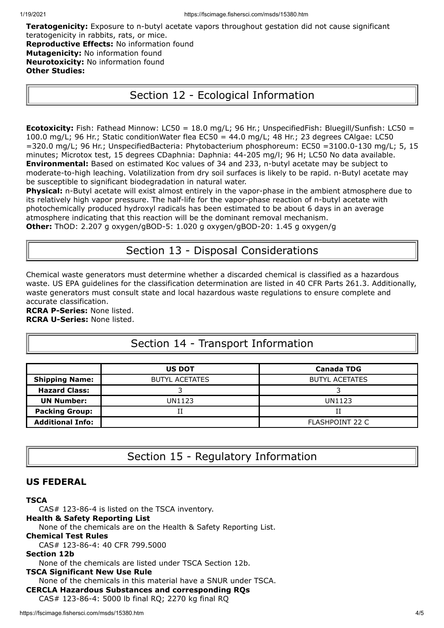**Teratogenicity:** Exposure to n-butyl acetate vapors throughout gestation did not cause significant teratogenicity in rabbits, rats, or mice. **Reproductive Effects:** No information found **Mutagenicity:** No information found **Neurotoxicity:** No information found **Other Studies:**

# Section 12 - Ecological Information

**Ecotoxicity:** Fish: Fathead Minnow: LC50 = 18.0 mg/L; 96 Hr.; UnspecifiedFish: Bluegill/Sunfish: LC50 = 100.0 mg/L; 96 Hr.; Static conditionWater flea EC50 = 44.0 mg/L; 48 Hr.; 23 degrees CAlgae: LC50 =320.0 mg/L; 96 Hr.; UnspecifiedBacteria: Phytobacterium phosphoreum: EC50 =3100.0-130 mg/L; 5, 15 minutes; Microtox test, 15 degrees CDaphnia: Daphnia: 44-205 mg/l; 96 H; LC50 No data available. **Environmental:** Based on estimated Koc values of 34 and 233, n-butyl acetate may be subject to moderate-to-high leaching. Volatilization from dry soil surfaces is likely to be rapid. n-Butyl acetate may be susceptible to significant biodegradation in natural water.

**Physical:** n-Butyl acetate will exist almost entirely in the vapor-phase in the ambient atmosphere due to its relatively high vapor pressure. The half-life for the vapor-phase reaction of n-butyl acetate with photochemically produced hydroxyl radicals has been estimated to be about 6 days in an average atmosphere indicating that this reaction will be the dominant removal mechanism. **Other:** ThOD: 2.207 g oxygen/gBOD-5: 1.020 g oxygen/gBOD-20: 1.45 g oxygen/g

## Section 13 - Disposal Considerations

Chemical waste generators must determine whether a discarded chemical is classified as a hazardous waste. US EPA guidelines for the classification determination are listed in 40 CFR Parts 261.3. Additionally, waste generators must consult state and local hazardous waste regulations to ensure complete and accurate classification.

**RCRA P-Series:** None listed. **RCRA U-Series:** None listed.

# Section 14 - Transport Information

|                         | <b>US DOT</b>         | <b>Canada TDG</b>      |  |
|-------------------------|-----------------------|------------------------|--|
| <b>Shipping Name:</b>   | <b>BUTYL ACETATES</b> | <b>BUTYL ACETATES</b>  |  |
| <b>Hazard Class:</b>    |                       |                        |  |
| <b>UN Number:</b>       | UN1123                | UN1123                 |  |
| <b>Packing Group:</b>   |                       |                        |  |
| <b>Additional Info:</b> |                       | <b>FLASHPOINT 22 C</b> |  |

Section 15 - Regulatory Information

## **US FEDERAL**

### **TSCA**

CAS# 123-86-4 is listed on the TSCA inventory.

### **Health & Safety Reporting List**

None of the chemicals are on the Health & Safety Reporting List.

### **Chemical Test Rules**

CAS# 123-86-4: 40 CFR 799.5000

### **Section 12b**

None of the chemicals are listed under TSCA Section 12b.

### **TSCA Significant New Use Rule**

None of the chemicals in this material have a SNUR under TSCA.

**CERCLA Hazardous Substances and corresponding RQs**

CAS# 123-86-4: 5000 lb final RQ; 2270 kg final RQ